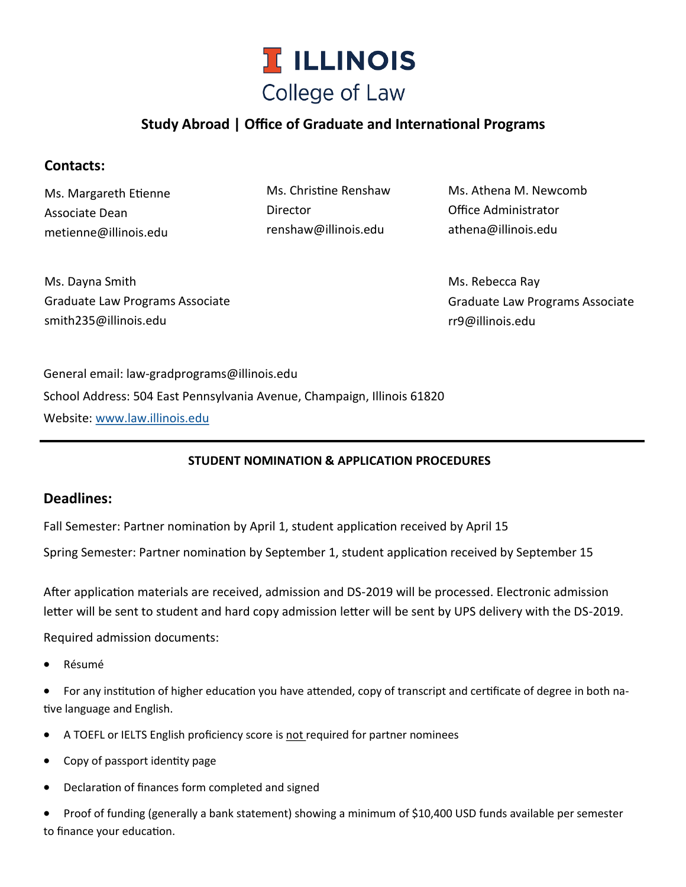

# **Study Abroad | Office of Graduate and International Programs**

### **Contacts:**

Ms. Margareth Etienne Associate Dean metienne@illinois.edu

Ms. Christine Renshaw **Director** renshaw@illinois.edu

Ms. Athena M. Newcomb Office Administrator athena@illinois.edu

Ms. Dayna Smith Graduate Law Programs Associate smith235@illinois.edu

Ms. Rebecca Ray Graduate Law Programs Associate rr9@illinois.edu

General email: law-gradprograms@illinois.edu School Address: 504 East Pennsylvania Avenue, Champaign, Illinois 61820 Website: [www.law.illinois.edu](http://www.law.illinois.edu/)

#### **STUDENT NOMINATION & APPLICATION PROCEDURES**

#### **Deadlines:**

Fall Semester: Partner nomination by April 1, student application received by April 15

Spring Semester: Partner nomination by September 1, student application received by September 15

After application materials are received, admission and DS-2019 will be processed. Electronic admission letter will be sent to student and hard copy admission letter will be sent by UPS delivery with the DS-2019.

Required admission documents:

• Résumé

• For any institution of higher education you have attended, copy of transcript and certificate of degree in both native language and English.

- A TOEFL or IELTS English proficiency score is not required for partner nominees
- Copy of passport identity page
- Declaration of finances form completed and signed

• Proof of funding (generally a bank statement) showing a minimum of \$10,400 USD funds available per semester to finance your education.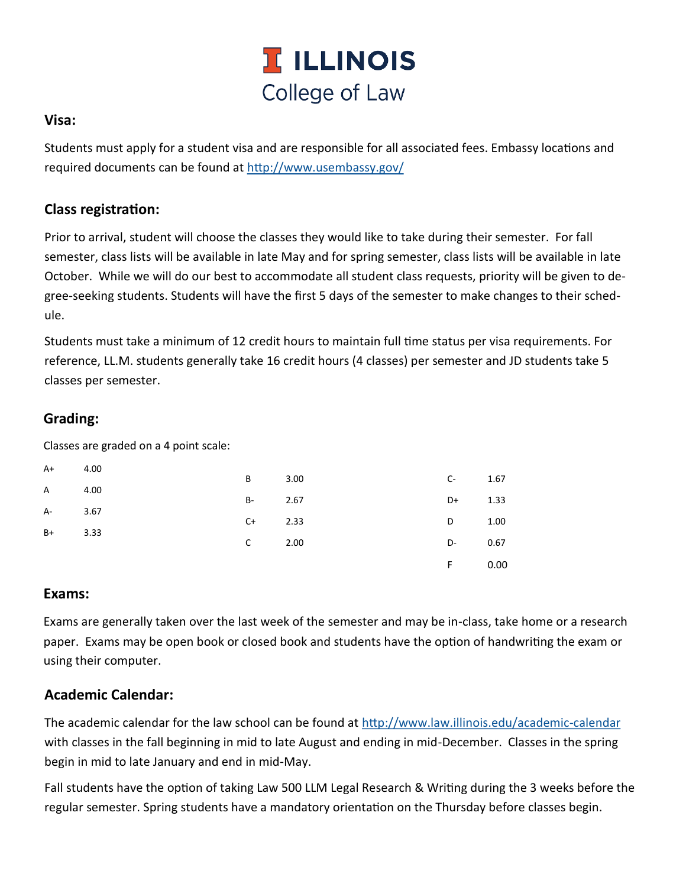

#### **Visa:**

Students must apply for a student visa and are responsible for all associated fees. Embassy locations and required documents can be found at <http://www.usembassy.gov/>

#### **Class registration:**

Prior to arrival, student will choose the classes they would like to take during their semester. For fall semester, class lists will be available in late May and for spring semester, class lists will be available in late October. While we will do our best to accommodate all student class requests, priority will be given to degree-seeking students. Students will have the first 5 days of the semester to make changes to their schedule.

Students must take a minimum of 12 credit hours to maintain full time status per visa requirements. For reference, LL.M. students generally take 16 credit hours (4 classes) per semester and JD students take 5 classes per semester.

## **Grading:**

Classes are graded on a 4 point scale:

| $A+$    | 4.00 |              |      |                |      |
|---------|------|--------------|------|----------------|------|
|         |      | B            | 3.00 | $C-$           | 1.67 |
| A 4.00  |      | $B-2.67$     |      | D+             | 1.33 |
| A- 3.67 |      | $C+$ 2.33    |      | D <sub>a</sub> | 1.00 |
| $B+$    | 3.33 | $\mathsf{C}$ | 2.00 | $D-$           | 0.67 |
|         |      |              |      | F.             | 0.00 |

#### **Exams:**

Exams are generally taken over the last week of the semester and may be in-class, take home or a research paper. Exams may be open book or closed book and students have the option of handwriting the exam or using their computer.

#### **Academic Calendar:**

The academic calendar for the law school can be found at [http://www.law.illinois.edu/academic](http://www.law.illinois.edu/academic-calendar)-calendar with classes in the fall beginning in mid to late August and ending in mid-December. Classes in the spring begin in mid to late January and end in mid-May.

Fall students have the option of taking Law 500 LLM Legal Research & Writing during the 3 weeks before the regular semester. Spring students have a mandatory orientation on the Thursday before classes begin.